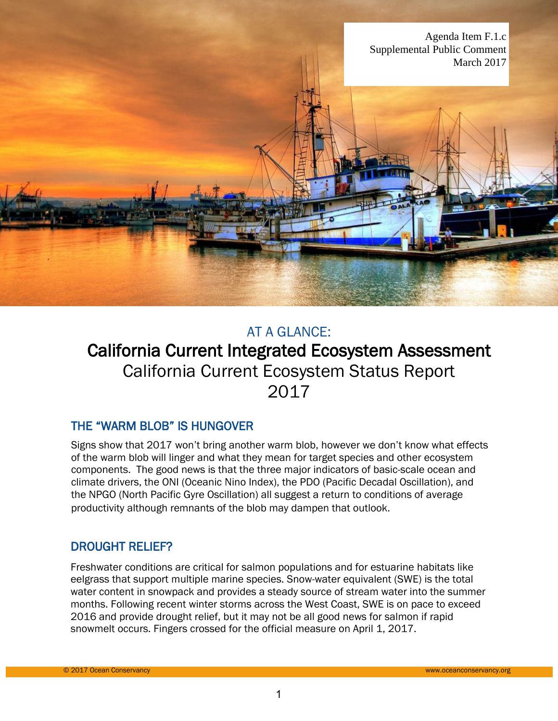

## AT A GLANCE:

# California Current Integrated Ecosystem Assessment California Current Ecosystem Status Report 2017

## THE "WARM BLOB" IS HUNGOVER

Signs show that 2017 won't bring another warm blob, however we don't know what effects of the warm blob will linger and what they mean for target species and other ecosystem components. The good news is that the three major indicators of basic-scale ocean and climate drivers, the ONI (Oceanic Nino Index), the PDO (Pacific Decadal Oscillation), and the NPGO (North Pacific Gyre Oscillation) all suggest a return to conditions of average productivity although remnants of the blob may dampen that outlook.

## DROUGHT RELIEF?

Freshwater conditions are critical for salmon populations and for estuarine habitats like eelgrass that support multiple marine species. Snow-water equivalent (SWE) is the total water content in snowpack and provides a steady source of stream water into the summer months. Following recent winter storms across the West Coast, SWE is on pace to exceed 2016 and provide drought relief, but it may not be all good news for salmon if rapid snowmelt occurs. Fingers crossed for the official measure on April 1, 2017.